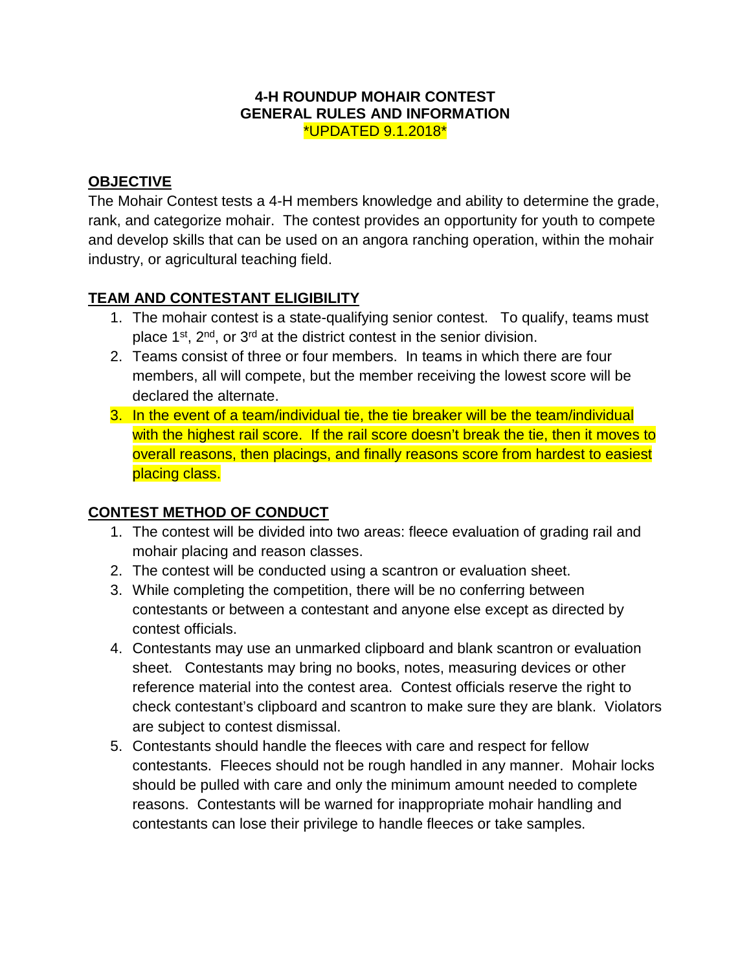#### **4-H ROUNDUP MOHAIR CONTEST GENERAL RULES AND INFORMATION** \*UPDATED 9.1.2018\*

### **OBJECTIVE**

The Mohair Contest tests a 4-H members knowledge and ability to determine the grade, rank, and categorize mohair. The contest provides an opportunity for youth to compete and develop skills that can be used on an angora ranching operation, within the mohair industry, or agricultural teaching field.

## **TEAM AND CONTESTANT ELIGIBILITY**

- 1. The mohair contest is a state-qualifying senior contest. To qualify, teams must place  $1^{st}$ ,  $2^{nd}$ , or  $3^{rd}$  at the district contest in the senior division.
- 2. Teams consist of three or four members. In teams in which there are four members, all will compete, but the member receiving the lowest score will be declared the alternate.
- 3. In the event of a team/individual tie, the tie breaker will be the team/individual with the highest rail score. If the rail score doesn't break the tie, then it moves to overall reasons, then placings, and finally reasons score from hardest to easiest placing class.

### **CONTEST METHOD OF CONDUCT**

- 1. The contest will be divided into two areas: fleece evaluation of grading rail and mohair placing and reason classes.
- 2. The contest will be conducted using a scantron or evaluation sheet.
- 3. While completing the competition, there will be no conferring between contestants or between a contestant and anyone else except as directed by contest officials.
- 4. Contestants may use an unmarked clipboard and blank scantron or evaluation sheet. Contestants may bring no books, notes, measuring devices or other reference material into the contest area. Contest officials reserve the right to check contestant's clipboard and scantron to make sure they are blank. Violators are subject to contest dismissal.
- 5. Contestants should handle the fleeces with care and respect for fellow contestants. Fleeces should not be rough handled in any manner. Mohair locks should be pulled with care and only the minimum amount needed to complete reasons. Contestants will be warned for inappropriate mohair handling and contestants can lose their privilege to handle fleeces or take samples.